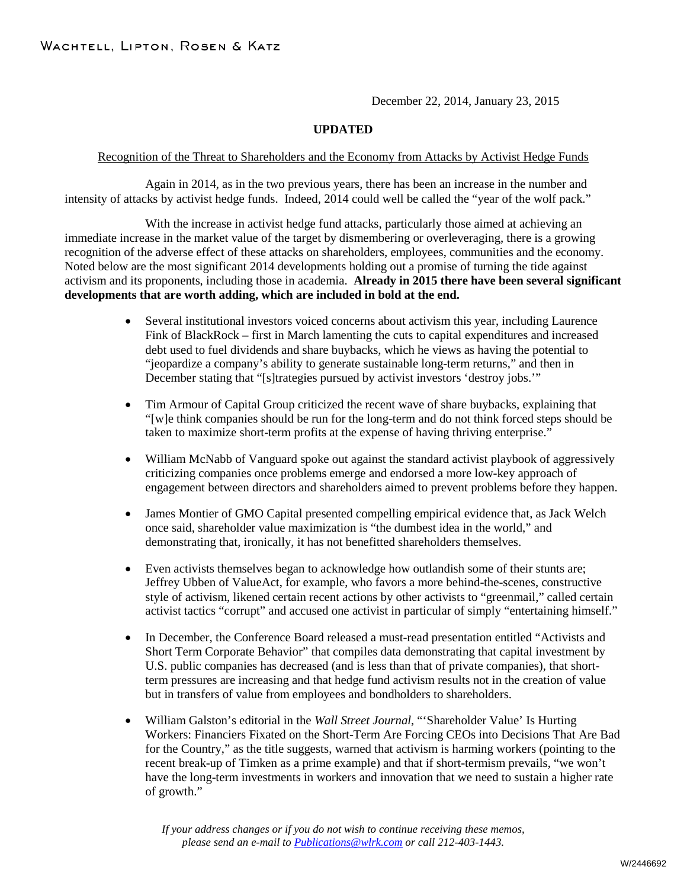December 22, 2014, January 23, 2015

## **UPDATED**

## Recognition of the Threat to Shareholders and the Economy from Attacks by Activist Hedge Funds

Again in 2014, as in the two previous years, there has been an increase in the number and intensity of attacks by activist hedge funds. Indeed, 2014 could well be called the "year of the wolf pack."

With the increase in activist hedge fund attacks, particularly those aimed at achieving an immediate increase in the market value of the target by dismembering or overleveraging, there is a growing recognition of the adverse effect of these attacks on shareholders, employees, communities and the economy. Noted below are the most significant 2014 developments holding out a promise of turning the tide against activism and its proponents, including those in academia. **Already in 2015 there have been several significant developments that are worth adding, which are included in bold at the end.** 

- Several institutional investors voiced concerns about activism this year, including Laurence Fink of BlackRock – first in March lamenting the cuts to capital expenditures and increased debt used to fuel dividends and share buybacks, which he views as having the potential to "jeopardize a company's ability to generate sustainable long-term returns," and then in December stating that "[s]trategies pursued by activist investors 'destroy jobs.'"
- Tim Armour of Capital Group criticized the recent wave of share buybacks, explaining that "[w]e think companies should be run for the long-term and do not think forced steps should be taken to maximize short-term profits at the expense of having thriving enterprise."
- William McNabb of Vanguard spoke out against the standard activist playbook of aggressively criticizing companies once problems emerge and endorsed a more low-key approach of engagement between directors and shareholders aimed to prevent problems before they happen.
- James Montier of GMO Capital presented compelling empirical evidence that, as Jack Welch once said, shareholder value maximization is "the dumbest idea in the world," and demonstrating that, ironically, it has not benefitted shareholders themselves.
- Even activists themselves began to acknowledge how outlandish some of their stunts are; Jeffrey Ubben of ValueAct, for example, who favors a more behind-the-scenes, constructive style of activism, likened certain recent actions by other activists to "greenmail," called certain activist tactics "corrupt" and accused one activist in particular of simply "entertaining himself."
- In December, the Conference Board released a must-read presentation entitled "Activists and Short Term Corporate Behavior" that compiles data demonstrating that capital investment by U.S. public companies has decreased (and is less than that of private companies), that shortterm pressures are increasing and that hedge fund activism results not in the creation of value but in transfers of value from employees and bondholders to shareholders.
- William Galston's editorial in the *Wall Street Journal*, "'Shareholder Value' Is Hurting Workers: Financiers Fixated on the Short-Term Are Forcing CEOs into Decisions That Are Bad for the Country," as the title suggests, warned that activism is harming workers (pointing to the recent break-up of Timken as a prime example) and that if short-termism prevails, "we won't have the long-term investments in workers and innovation that we need to sustain a higher rate of growth."

*If your address changes or if you do not wish to continue receiving these memos, please send an e-mail to [Publications@wlrk.com](mailto:Publications@wlrk.com) or call 212-403-1443.*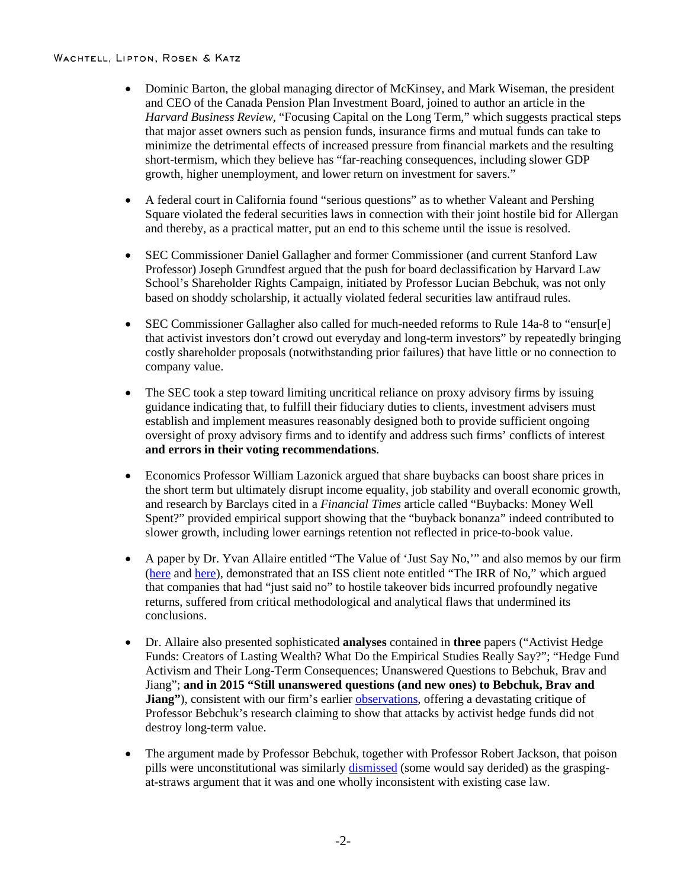- Dominic Barton, the global managing director of McKinsey, and Mark Wiseman, the president and CEO of the Canada Pension Plan Investment Board, joined to author an article in the *Harvard Business Review*, "Focusing Capital on the Long Term," which suggests practical steps that major asset owners such as pension funds, insurance firms and mutual funds can take to minimize the detrimental effects of increased pressure from financial markets and the resulting short-termism, which they believe has "far-reaching consequences, including slower GDP growth, higher unemployment, and lower return on investment for savers."
- A federal court in California found "serious questions" as to whether Valeant and Pershing Square violated the federal securities laws in connection with their joint hostile bid for Allergan and thereby, as a practical matter, put an end to this scheme until the issue is resolved.
- SEC Commissioner Daniel Gallagher and former Commissioner (and current Stanford Law Professor) Joseph Grundfest argued that the push for board declassification by Harvard Law School's Shareholder Rights Campaign, initiated by Professor Lucian Bebchuk, was not only based on shoddy scholarship, it actually violated federal securities law antifraud rules.
- SEC Commissioner Gallagher also called for much-needed reforms to Rule 14a-8 to "ensur[e] that activist investors don't crowd out everyday and long-term investors" by repeatedly bringing costly shareholder proposals (notwithstanding prior failures) that have little or no connection to company value.
- The SEC took a step toward limiting uncritical reliance on proxy advisory firms by issuing guidance indicating that, to fulfill their fiduciary duties to clients, investment advisers must establish and implement measures reasonably designed both to provide sufficient ongoing oversight of proxy advisory firms and to identify and address such firms' conflicts of interest **and errors in their voting recommendations**.
- Economics Professor William Lazonick argued that share buybacks can boost share prices in the short term but ultimately disrupt income equality, job stability and overall economic growth, and research by Barclays cited in a *Financial Times* article called "Buybacks: Money Well Spent?" provided empirical support showing that the "buyback bonanza" indeed contributed to slower growth, including lower earnings retention not reflected in price-to-book value.
- A paper by Dr. Yvan Allaire entitled "The Value of 'Just Say No,'" and also memos by our firm [\(here](http://www.wlrk.com/webdocs/wlrknew/WLRKMemos/WLRK/WLRK.23591.14.pdf) and [here\)](http://www.wlrk.com/webdocs/wlrknew/WLRKMemos/WLRK/WLRK.23683.14.pdf), demonstrated that an ISS client note entitled "The IRR of No," which argued that companies that had "just said no" to hostile takeover bids incurred profoundly negative returns, suffered from critical methodological and analytical flaws that undermined its conclusions.
- Dr. Allaire also presented sophisticated **analyses** contained in **three** papers ("Activist Hedge Funds: Creators of Lasting Wealth? What Do the Empirical Studies Really Say?"; "Hedge Fund Activism and Their Long-Term Consequences; Unanswered Questions to Bebchuk, Brav and Jiang"; **and in 2015 "Still unanswered questions (and new ones) to Bebchuk, Brav and Jiang**"), consistent with our firm's earlier [observations,](http://www.wlrk.com/webdocs/wlrknew/WLRKMemos/WLRK/WLRK.22752.13.pdf) offering a devastating critique of Professor Bebchuk's research claiming to show that attacks by activist hedge funds did not destroy long-term value.
- The argument made by Professor Bebchuk, together with Professor Robert Jackson, that poison pills were unconstitutional was similarly [dismissed](http://www.wlrk.com/webdocs/wlrknew/WLRKMemos/WLRK/WLRK.23166.14.pdf) (some would say derided) as the graspingat-straws argument that it was and one wholly inconsistent with existing case law.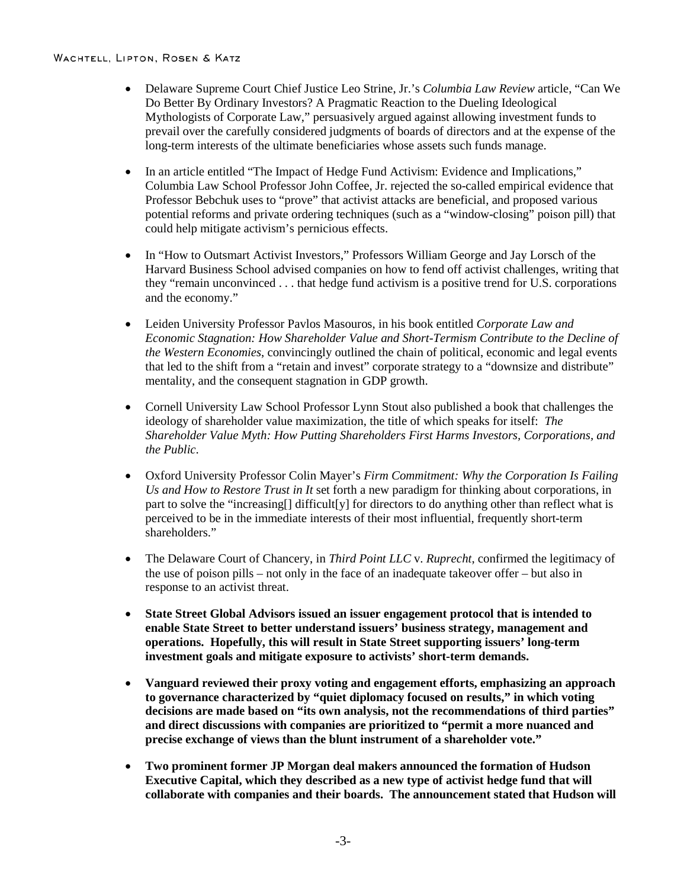- Delaware Supreme Court Chief Justice Leo Strine, Jr.'s *Columbia Law Review* article, "Can We Do Better By Ordinary Investors? A Pragmatic Reaction to the Dueling Ideological Mythologists of Corporate Law," persuasively argued against allowing investment funds to prevail over the carefully considered judgments of boards of directors and at the expense of the long-term interests of the ultimate beneficiaries whose assets such funds manage.
- In an article entitled "The Impact of Hedge Fund Activism: Evidence and Implications," Columbia Law School Professor John Coffee, Jr. rejected the so-called empirical evidence that Professor Bebchuk uses to "prove" that activist attacks are beneficial, and proposed various potential reforms and private ordering techniques (such as a "window-closing" poison pill) that could help mitigate activism's pernicious effects.
- In "How to Outsmart Activist Investors," Professors William George and Jay Lorsch of the Harvard Business School advised companies on how to fend off activist challenges, writing that they "remain unconvinced . . . that hedge fund activism is a positive trend for U.S. corporations and the economy."
- Leiden University Professor Pavlos Masouros, in his book entitled *Corporate Law and Economic Stagnation: How Shareholder Value and Short-Termism Contribute to the Decline of the Western Economies*, convincingly outlined the chain of political, economic and legal events that led to the shift from a "retain and invest" corporate strategy to a "downsize and distribute" mentality, and the consequent stagnation in GDP growth.
- Cornell University Law School Professor Lynn Stout also published a book that challenges the ideology of shareholder value maximization, the title of which speaks for itself: *The Shareholder Value Myth: How Putting Shareholders First Harms Investors, Corporations, and the Public*.
- Oxford University Professor Colin Mayer's *Firm Commitment: Why the Corporation Is Failing Us and How to Restore Trust in It* set forth a new paradigm for thinking about corporations, in part to solve the "increasing[] difficult[y] for directors to do anything other than reflect what is perceived to be in the immediate interests of their most influential, frequently short-term shareholders."
- The Delaware Court of Chancery, in *Third Point LLC* v. *Ruprecht*, confirmed the legitimacy of the use of poison pills – not only in the face of an inadequate takeover offer – but also in response to an activist threat.
- **State Street Global Advisors issued an issuer engagement protocol that is intended to enable State Street to better understand issuers' business strategy, management and operations. Hopefully, this will result in State Street supporting issuers' long-term investment goals and mitigate exposure to activists' short-term demands.**
- **Vanguard reviewed their proxy voting and engagement efforts, emphasizing an approach to governance characterized by "quiet diplomacy focused on results," in which voting decisions are made based on "its own analysis, not the recommendations of third parties" and direct discussions with companies are prioritized to "permit a more nuanced and precise exchange of views than the blunt instrument of a shareholder vote."**
- **Two prominent former JP Morgan deal makers announced the formation of Hudson Executive Capital, which they described as a new type of activist hedge fund that will collaborate with companies and their boards. The announcement stated that Hudson will**